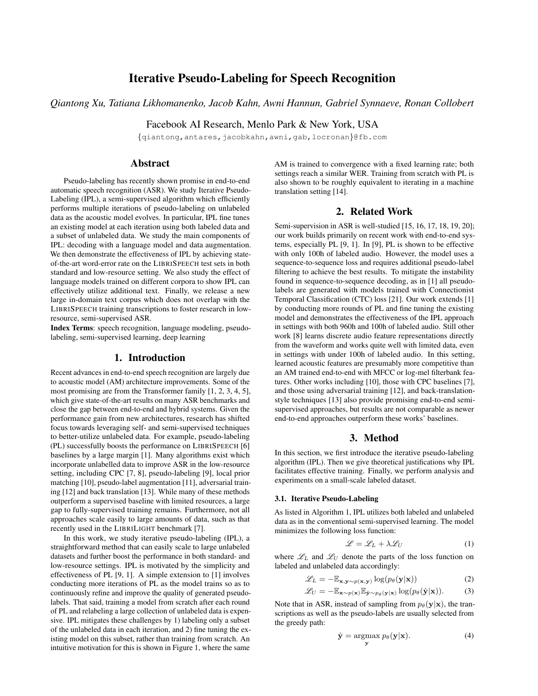# Iterative Pseudo-Labeling for Speech Recognition

# *Qiantong Xu, Tatiana Likhomanenko, Jacob Kahn, Awni Hannun, Gabriel Synnaeve, Ronan Collobert*

Facebook AI Research, Menlo Park & New York, USA

{qiantong,antares,jacobkahn,awni,gab,locronan}@fb.com

# Abstract

Pseudo-labeling has recently shown promise in end-to-end automatic speech recognition (ASR). We study Iterative Pseudo-Labeling (IPL), a semi-supervised algorithm which efficiently performs multiple iterations of pseudo-labeling on unlabeled data as the acoustic model evolves. In particular, IPL fine tunes an existing model at each iteration using both labeled data and a subset of unlabeled data. We study the main components of IPL: decoding with a language model and data augmentation. We then demonstrate the effectiveness of IPL by achieving stateof-the-art word-error rate on the LIBRISPEECH test sets in both standard and low-resource setting. We also study the effect of language models trained on different corpora to show IPL can effectively utilize additional text. Finally, we release a new large in-domain text corpus which does not overlap with the LIBRISPEECH training transcriptions to foster research in lowresource, semi-supervised ASR.

Index Terms: speech recognition, language modeling, pseudolabeling, semi-supervised learning, deep learning

# 1. Introduction

Recent advances in end-to-end speech recognition are largely due to acoustic model (AM) architecture improvements. Some of the most promising are from the Transformer family [1, 2, 3, 4, 5], which give state-of-the-art results on many ASR benchmarks and close the gap between end-to-end and hybrid systems. Given the performance gain from new architectures, research has shifted focus towards leveraging self- and semi-supervised techniques to better-utilize unlabeled data. For example, pseudo-labeling (PL) successfully boosts the performance on LIBRISPEECH [6] baselines by a large margin [1]. Many algorithms exist which incorporate unlabelled data to improve ASR in the low-resource setting, including CPC [7, 8], pseudo-labeling [9], local prior matching [10], pseudo-label augmentation [11], adversarial training [12] and back translation [13]. While many of these methods outperform a supervised baseline with limited resources, a large gap to fully-supervised training remains. Furthermore, not all approaches scale easily to large amounts of data, such as that recently used in the LIBRILIGHT benchmark [7].

In this work, we study iterative pseudo-labeling (IPL), a straightforward method that can easily scale to large unlabeled datasets and further boost the performance in both standard- and low-resource settings. IPL is motivated by the simplicity and effectiveness of PL [9, 1]. A simple extension to [1] involves conducting more iterations of PL as the model trains so as to continuously refine and improve the quality of generated pseudolabels. That said, training a model from scratch after each round of PL and relabeling a large collection of unlabeled data is expensive. IPL mitigates these challenges by 1) labeling only a subset of the unlabeled data in each iteration, and 2) fine tuning the existing model on this subset, rather than training from scratch. An intuitive motivation for this is shown in Figure 1, where the same AM is trained to convergence with a fixed learning rate; both settings reach a similar WER. Training from scratch with PL is also shown to be roughly equivalent to iterating in a machine translation setting [14].

### 2. Related Work

Semi-supervision in ASR is well-studied [15, 16, 17, 18, 19, 20]; our work builds primarily on recent work with end-to-end systems, especially PL [9, 1]. In [9], PL is shown to be effective with only 100h of labeled audio. However, the model uses a sequence-to-sequence loss and requires additional pseudo-label filtering to achieve the best results. To mitigate the instability found in sequence-to-sequence decoding, as in [1] all pseudolabels are generated with models trained with Connectionist Temporal Classification (CTC) loss [21]. Our work extends [1] by conducting more rounds of PL and fine tuning the existing model and demonstrates the effectiveness of the IPL approach in settings with both 960h and 100h of labeled audio. Still other work [8] learns discrete audio feature representations directly from the waveform and works quite well with limited data, even in settings with under 100h of labeled audio. In this setting, learned acoustic features are presumably more competitive than an AM trained end-to-end with MFCC or log-mel filterbank features. Other works including [10], those with CPC baselines [7], and those using adversarial training [12], and back-translationstyle techniques [13] also provide promising end-to-end semisupervised approaches, but results are not comparable as newer end-to-end approaches outperform these works' baselines.

## 3. Method

In this section, we first introduce the iterative pseudo-labeling algorithm (IPL). Then we give theoretical justifications why IPL facilitates effective training. Finally, we perform analysis and experiments on a small-scale labeled dataset.

#### 3.1. Iterative Pseudo-Labeling

As listed in Algorithm 1, IPL utilizes both labeled and unlabeled data as in the conventional semi-supervised learning. The model minimizes the following loss function:

$$
\mathcal{L} = \mathcal{L}_L + \lambda \mathcal{L}_U \tag{1}
$$

where  $\mathscr{L}_L$  and  $\mathscr{L}_U$  denote the parts of the loss function on labeled and unlabeled data accordingly:

$$
\mathcal{L}_L = -\mathbb{E}_{\mathbf{x}, \mathbf{y} \sim p(\mathbf{x}, \mathbf{y})} \log(p_\theta(\mathbf{y}|\mathbf{x})) \tag{2}
$$

$$
\mathscr{L}_U = -\mathbb{E}_{\mathbf{x} \sim p(\mathbf{x})} \mathbb{E}_{\hat{\mathbf{y}} \sim p_\theta(\mathbf{y}|\mathbf{x})} \log(p_\theta(\hat{\mathbf{y}}|\mathbf{x})). \tag{3}
$$

Note that in ASR, instead of sampling from  $p_\theta(\mathbf{y}|\mathbf{x})$ , the transcriptions as well as the pseudo-labels are usually selected from the greedy path:

$$
\hat{\mathbf{y}} = \underset{\mathbf{y}}{\operatorname{argmax}} \ p_{\theta}(\mathbf{y}|\mathbf{x}). \tag{4}
$$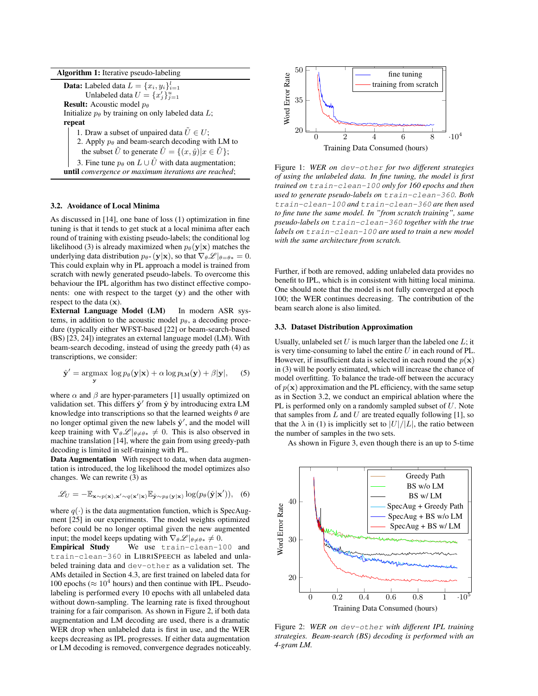| <b>Algorithm 1:</b> Iterative pseudo-labeling                                       |
|-------------------------------------------------------------------------------------|
| <b>Data:</b> Labeled data $L = \{x_i, y_i\}_{i=1}^l$                                |
| Unlabeled data $U = \{x'_i\}_{i=1}^u$                                               |
| <b>Result:</b> Acoustic model $p_{\theta}$                                          |
| Initialize $p_{\theta}$ by training on only labeled data L;                         |
| repeat                                                                              |
| 1. Draw a subset of unpaired data $\tilde{U} \in U$ ;                               |
| 2. Apply $p_{\theta}$ and beam-search decoding with LM to                           |
| the subset $\tilde{U}$ to generate $\hat{U} = \{(x, \hat{y})   x \in \tilde{U}\}\;$ |
| 3. Fine tune $p_{\theta}$ on $L \cup \hat{U}$ with data augmentation;               |
| <b>until</b> convergence or maximum iterations are reached;                         |

#### 3.2. Avoidance of Local Minima

As discussed in [14], one bane of loss (1) optimization in fine tuning is that it tends to get stuck at a local minima after each round of training with existing pseudo-labels; the conditional log likelihood (3) is already maximized when  $p_\theta(\mathbf{y}|\mathbf{x})$  matches the underlying data distribution  $p_{\theta^*}(\mathbf{y}|\mathbf{x})$ , so that  $\nabla_{\theta} \mathscr{L}|_{\theta=\theta^*} = 0$ . This could explain why in PL approach a model is trained from scratch with newly generated pseudo-labels. To overcome this behaviour the IPL algorithm has two distinct effective components: one with respect to the target  $(y)$  and the other with respect to the data  $(x)$ .

External Language Model (LM) In modern ASR systems, in addition to the acoustic model  $p_{\theta}$ , a decoding procedure (typically either WFST-based [22] or beam-search-based (BS) [23, 24]) integrates an external language model (LM). With beam-search decoding, instead of using the greedy path (4) as transcriptions, we consider:

$$
\hat{\mathbf{y}}' = \underset{\mathbf{y}}{\operatorname{argmax}} \log p_{\theta}(\mathbf{y}|\mathbf{x}) + \alpha \log p_{\text{LM}}(\mathbf{y}) + \beta |\mathbf{y}|, \quad (5)
$$

where  $\alpha$  and  $\beta$  are hyper-parameters [1] usually optimized on validation set. This differs  $\hat{\mathbf{y}}'$  from  $\hat{\mathbf{y}}$  by introducing extra LM knowledge into transcriptions so that the learned weights  $\theta$  are no longer optimal given the new labels  $\hat{\mathbf{y}}'$ , and the model will keep training with  $\nabla_{\theta} \mathscr{L}|_{\theta \neq \theta^*} \neq 0$ . This is also observed in machine translation [14], where the gain from using greedy-path decoding is limited in self-training with PL.

Data Augmentation With respect to data, when data augmentation is introduced, the log likelihood the model optimizes also changes. We can rewrite (3) as

$$
\mathcal{L}_U = -\mathbb{E}_{\mathbf{x} \sim p(\mathbf{x}), \mathbf{x}' \sim q(\mathbf{x}'|\mathbf{x})} \mathbb{E}_{\hat{\mathbf{y}} \sim p_\theta(\mathbf{y}|\mathbf{x})} \log(p_\theta(\hat{\mathbf{y}}|\mathbf{x}'))
$$
, (6)

where  $q(\cdot)$  is the data augmentation function, which is SpecAugment [25] in our experiments. The model weights optimized before could be no longer optimal given the new augmented input; the model keeps updating with  $\nabla_{\theta} \mathcal{L} |_{\theta \neq \theta^*} \neq 0$ .

Empirical Study We use train-clean-100 and train-clean-360 in LIBRISPEECH as labeled and unlabeled training data and dev-other as a validation set. The AMs detailed in Section 4.3, are first trained on labeled data for 100 epochs ( $\approx 10^4$  hours) and then continue with IPL. Pseudolabeling is performed every 10 epochs with all unlabeled data without down-sampling. The learning rate is fixed throughout training for a fair comparison. As shown in Figure 2, if both data augmentation and LM decoding are used, there is a dramatic WER drop when unlabeled data is first in use, and the WER keeps decreasing as IPL progresses. If either data augmentation or LM decoding is removed, convergence degrades noticeably.



Figure 1: *WER on* dev-other *for two different strategies of using the unlabeled data. In fine tuning, the model is first trained on* train-clean-100 *only for 160 epochs and then used to generate pseudo-labels on* train-clean-360*. Both* train-clean-100 *and* train-clean-360 *are then used to fine tune the same model. In "from scratch training", same pseudo-labels on* train-clean-360 *together with the true labels on* train-clean-100 *are used to train a new model with the same architecture from scratch.*

Further, if both are removed, adding unlabeled data provides no benefit to IPL, which is in consistent with hitting local minima. One should note that the model is not fully converged at epoch 100; the WER continues decreasing. The contribution of the beam search alone is also limited.

#### 3.3. Dataset Distribution Approximation

Usually, unlabeled set  $U$  is much larger than the labeled one  $L$ ; it is very time-consuming to label the entire  $U$  in each round of PL. However, if insufficient data is selected in each round the  $p(x)$ in (3) will be poorly estimated, which will increase the chance of model overfitting. To balance the trade-off between the accuracy of  $p(x)$  approximation and the PL efficiency, with the same setup as in Section 3.2, we conduct an empirical ablation where the PL is performed only on a randomly sampled subset of  $U$ . Note that samples from  $L$  and  $U$  are treated equally following [1], so that the  $\lambda$  in (1) is implicitly set to  $|U|/|L|$ , the ratio between the number of samples in the two sets.

As shown in Figure 3, even though there is an up to 5-time



Figure 2: *WER on* dev-other *with different IPL training strategies. Beam-search (BS) decoding is performed with an 4-gram LM.*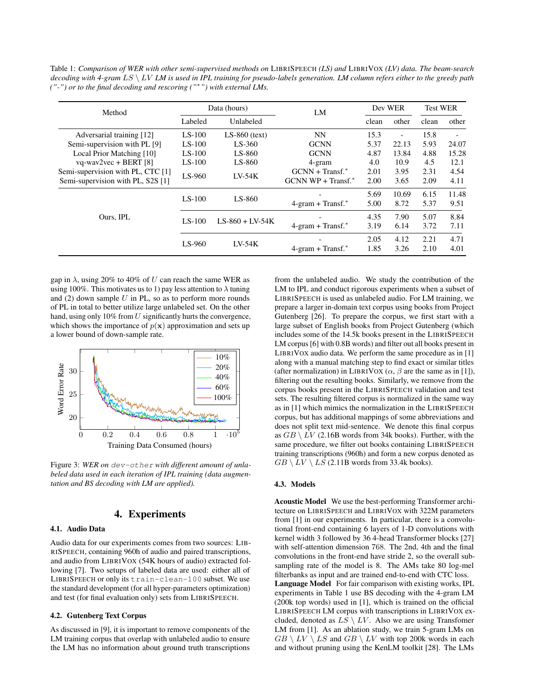Table 1: *Comparison of WER with other semi-supervised methods on* LIBRISPEECH *(LS) and* LIBRIVOX *(LV) data. The beam-search decoding with 4-gram* LS \ LV *LM is used in IPL training for pseudo-labels generation. LM column refers either to the greedy path ("-") or to the final decoding and rescoring ("*<sup>∗</sup> *") with external LMs.*

| Method                            | Data (hours)       |                                    | LM                                 | Dev WER |       | <b>Test WER</b> |       |
|-----------------------------------|--------------------|------------------------------------|------------------------------------|---------|-------|-----------------|-------|
|                                   | Labeled            | Unlabeled                          |                                    | clean   | other | clean           | other |
| Adversarial training [12]         | $LS-100$           | $LS-860$ (text)                    | <b>NN</b>                          | 15.3    |       | 15.8            |       |
| Semi-supervision with PL [9]      | $LS-100$           | $LS-360$                           | <b>GCNN</b>                        | 5.37    | 22.13 | 5.93            | 24.07 |
| Local Prior Matching [10]         | $LS-100$           | LS-860                             | <b>GCNN</b>                        | 4.87    | 13.84 | 4.88            | 15.28 |
| $vq$ -wav2vec + BERT [8]          | $LS-100$           | LS-860                             | 4-gram                             | 4.0     | 10.9  | 4.5             | 12.1  |
| Semi-supervision with PL, CTC [1] | LS-960             | $LV-54K$                           | $GCNN + Transf.*$                  | 2.01    | 3.95  | 2.31            | 4.54  |
| Semi-supervision with PL, S2S [1] |                    |                                    | $GCNNWP + Transf.*$                | 2.00    | 3.65  | 2.09            | 4.11  |
|                                   |                    | LS-860                             |                                    | 5.69    | 10.69 | 6.15            | 11.48 |
|                                   | $LS-100$           |                                    | $4\text{-gram} + \text{Transf.}^*$ | 5.00    | 8.72  | 5.37            | 9.51  |
| Ours, IPL                         | $LS-100$           | $LS - 860 + IN - 54K$              |                                    | 4.35    | 7.90  | 5.07            | 8.84  |
|                                   |                    |                                    | $4\text{-gram} + \text{Transf.}^*$ | 3.19    | 6.14  | 3.72            | 7.11  |
|                                   | LS-960<br>$LV-54K$ |                                    |                                    | 2.05    | 4.12  | 2.21            | 4.71  |
|                                   |                    | $4\text{-gram} + \text{Transf.}^*$ | 1.85                               | 3.26    | 2.10  | 4.01            |       |

gap in  $\lambda$ , using 20% to 40% of U can reach the same WER as using 100%. This motivates us to 1) pay less attention to  $\lambda$  tuning and  $(2)$  down sample  $U$  in PL, so as to perform more rounds of PL in total to better utilize large unlabeled set. On the other hand, using only  $10\%$  from  $U$  significantly hurts the convergence, which shows the importance of  $p(x)$  approximation and sets up a lower bound of down-sample rate.



Figure 3: *WER on* dev-other *with different amount of unlabeled data used in each iteration of IPL training (data augmentation and BS decoding with LM are applied).*

# 4. Experiments

### 4.1. Audio Data

Audio data for our experiments comes from two sources: LIB-RISPEECH, containing 960h of audio and paired transcriptions, and audio from LIBRIVOX (54K hours of audio) extracted following [7]. Two setups of labeled data are used: either all of LIBRISPEECH or only its train-clean-100 subset. We use the standard development (for all hyper-parameters optimization) and test (for final evaluation only) sets from LIBRISPEECH.

### 4.2. Gutenberg Text Corpus

As discussed in [9], it is important to remove components of the LM training corpus that overlap with unlabeled audio to ensure the LM has no information about ground truth transcriptions from the unlabeled audio. We study the contribution of the LM to IPL and conduct rigorous experiments when a subset of LIBRISPEECH is used as unlabeled audio. For LM training, we prepare a larger in-domain text corpus using books from Project Gutenberg [26]. To prepare the corpus, we first start with a large subset of English books from Project Gutenberg (which includes some of the 14.5k books present in the LIBRISPEECH LM corpus [6] with 0.8B words) and filter out all books present in LIBRIVOX audio data. We perform the same procedure as in [1] along with a manual matching step to find exact or similar titles (after normalization) in LIBRIVOX ( $\alpha$ ,  $\beta$  are the same as in [1]), filtering out the resulting books. Similarly, we remove from the corpus books present in the LIBRISPEECH validation and test sets. The resulting filtered corpus is normalized in the same way as in [1] which mimics the normalization in the LIBRISPEECH corpus, but has additional mappings of some abbreviations and does not split text mid-sentence. We denote this final corpus as  $GB \setminus LV$  (2.16B words from 34k books). Further, with the same procedure, we filter out books containing LIBRISPEECH training transcriptions (960h) and form a new corpus denoted as  $GB \setminus LV \setminus LS$  (2.11B words from 33.4k books).

### 4.3. Models

Acoustic Model We use the best-performing Transformer architecture on LIBRISPEECH and LIBRIVOX with 322M parameters from [1] in our experiments. In particular, there is a convolutional front-end containing 6 layers of 1-D convolutions with kernel width 3 followed by 36 4-head Transformer blocks [27] with self-attention dimension 768. The 2nd, 4th and the final convolutions in the front-end have stride 2, so the overall subsampling rate of the model is 8. The AMs take 80 log-mel filterbanks as input and are trained end-to-end with CTC loss.

Language Model For fair comparison with existing works, IPL experiments in Table 1 use BS decoding with the 4-gram LM (200k top words) used in [1], which is trained on the official LIBRISPEECH LM corpus with transcriptions in LIBRIVOX excluded, denoted as  $L\overline{S} \setminus LV$ . Also we are using Transfomer LM from [1]. As an ablation study, we train 5-gram LMs on  $GB \setminus LV \setminus LS$  and  $GB \setminus LV$  with top 200k words in each and without pruning using the KenLM toolkit [28]. The LMs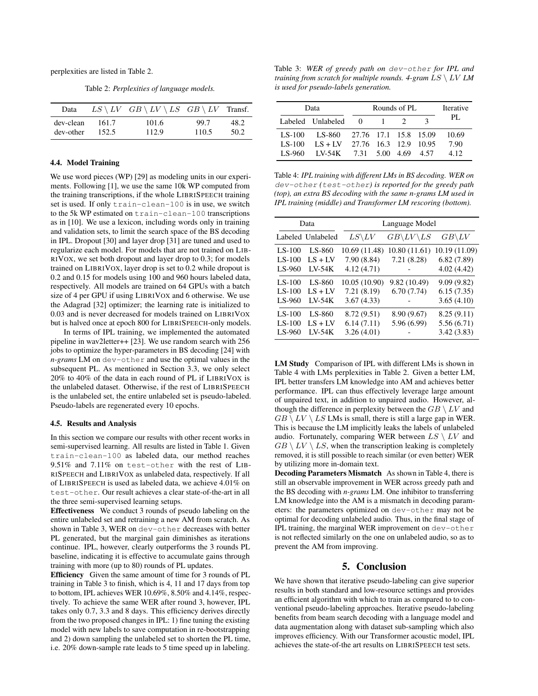perplexities are listed in Table 2.

Table 2: *Perplexities of language models.*

| Data      |       | $LS \setminus LV$ $GB \setminus LV \setminus LS$ $GB \setminus LV$ Transf. |       |      |
|-----------|-------|----------------------------------------------------------------------------|-------|------|
| dev-clean | 161.7 | 101.6                                                                      | 99.7  | 48.2 |
| dev-other | 152.5 | 112.9                                                                      | 110.5 | 50.2 |

## 4.4. Model Training

We use word pieces (WP) [29] as modeling units in our experiments. Following [1], we use the same 10k WP computed from the training transcriptions, if the whole LIBRISPEECH training set is used. If only train-clean-100 is in use, we switch to the 5k WP estimated on train-clean-100 transcriptions as in [10]. We use a lexicon, including words only in training and validation sets, to limit the search space of the BS decoding in IPL. Dropout [30] and layer drop [31] are tuned and used to regularize each model. For models that are not trained on LIB-RIVOX, we set both dropout and layer drop to 0.3; for models trained on LIBRIVOX, layer drop is set to 0.2 while dropout is 0.2 and 0.15 for models using 100 and 960 hours labeled data, respectively. All models are trained on 64 GPUs with a batch size of 4 per GPU if using LIBRIVOX and 6 otherwise. We use the Adagrad [32] optimizer; the learning rate is initialized to 0.03 and is never decreased for models trained on LIBRIVOX but is halved once at epoch 800 for LIBRISPEECH-only models.

In terms of IPL training, we implemented the automated pipeline in wav2letter++ [23]. We use random search with 256 jobs to optimize the hyper-parameters in BS decoding [24] with *n-grams* LM on dev-other and use the optimal values in the subsequent PL. As mentioned in Section 3.3, we only select 20% to 40% of the data in each round of PL if LIBRIVOX is the unlabeled dataset. Otherwise, if the rest of LIBRISPEECH is the unlabeled set, the entire unlabeled set is pseudo-labeled. Pseudo-labels are regenerated every 10 epochs.

#### 4.5. Results and Analysis

In this section we compare our results with other recent works in semi-supervised learning. All results are listed in Table 1. Given train-clean-100 as labeled data, our method reaches 9.51% and 7.11% on test-other with the rest of LIB-RISPEECH and LIBRIVOX as unlabeled data, respectively. If all of LIBRISPEECH is used as labeled data, we achieve 4.01% on test-other. Our result achieves a clear state-of-the-art in all the three semi-supervised learning setups.

Effectiveness We conduct 3 rounds of pseudo labeling on the entire unlabeled set and retraining a new AM from scratch. As shown in Table 3, WER on dev-other decreases with better PL generated, but the marginal gain diminishes as iterations continue. IPL, however, clearly outperforms the 3 rounds PL baseline, indicating it is effective to accumulate gains through training with more (up to 80) rounds of PL updates.

Efficiency Given the same amount of time for 3 rounds of PL training in Table 3 to finish, which is 4, 11 and 17 days from top to bottom, IPL achieves WER 10.69%, 8.50% and 4.14%, respectively. To achieve the same WER after round 3, however, IPL takes only 0.7, 3.3 and 8 days. This efficiency derives directly from the two proposed changes in IPL: 1) fine tuning the existing model with new labels to save computation in re-bootstrapping and 2) down sampling the unlabeled set to shorten the PL time, i.e. 20% down-sample rate leads to 5 time speed up in labeling.

Table 3: *WER of greedy path on* dev-other *for IPL and training from scratch for multiple rounds. 4-gram* LS \ LV *LM is used for pseudo-labels generation.*

|                    | Data                                                            | Rounds of PL          |      | <b>Iterative</b> |              |
|--------------------|-----------------------------------------------------------------|-----------------------|------|------------------|--------------|
|                    | Labeled Unlabeled                                               | $\overline{0}$        | $-1$ |                  | PI.          |
| LS-100             | LS-860                                                          | 27.76 17.1 15.8 15.09 |      |                  | 10.69        |
| $LS-100$<br>LS-960 | $LS + LV$ 27.76 16.3 12.9 10.95<br>$IV-54K$ 7.31 5.00 4.69 4.57 |                       |      |                  | 7.90<br>4.12 |

Table 4: *IPL training with different LMs in BS decoding. WER on* dev-other *(*test-other*) is reported for the greedy path (top), an extra BS decoding with the same n-grams LM used in IPL training (middle) and Transformer LM rescoring (bottom).*

|                                | Data                            | Language Model                            |                                |                                           |  |
|--------------------------------|---------------------------------|-------------------------------------------|--------------------------------|-------------------------------------------|--|
|                                | Labeled Unlabeled               | $LS\backslash LV$                         | $GB\backslash LV\backslash LS$ | $GB\rangle LV$                            |  |
| $LS-100$<br>$LS-100$<br>LS-960 | LS-860<br>$LS + LV$<br>$LV-54K$ | 10.69 (11.48)<br>7.90(8.84)<br>4.12(4.71) | 10.80 (11.61)<br>7.21(8.28)    | 10.19 (11.09)<br>6.82(7.89)<br>4.02(4.42) |  |
| $LS-100$<br>$LS-100$<br>LS-960 | LS-860<br>$LS + LV$<br>$LV-54K$ | 10.05 (10.90)<br>7.21(8.19)<br>3.67(4.33) | 9.82 (10.49)<br>6.70(7.74)     | 9.09(9.82)<br>6.15(7.35)<br>3.65(4.10)    |  |
| $LS-100$<br>$LS-100$<br>LS-960 | LS-860<br>$LS + LV$<br>$LV-54K$ | 8.72 (9.51)<br>6.14(7.11)<br>3.26(4.01)   | 8.90 (9.67)<br>5.96 (6.99)     | 8.25(9.11)<br>5.56(6.71)<br>3.42(3.83)    |  |

LM Study Comparison of IPL with different LMs is shown in Table 4 with LMs perplexities in Table 2. Given a better LM, IPL better transfers LM knowledge into AM and achieves better performance. IPL can thus effectively leverage large amount of unpaired text, in addition to unpaired audio. However, although the difference in perplexity between the  $GB \setminus LV$  and  $GB \setminus LV \setminus LS$  LMs is small, there is still a large gap in WER. This is because the LM implicitly leaks the labels of unlabeled audio. Fortunately, comparing WER between  $LS \setminus LV$  and  $GB \setminus LV \setminus LS$ , when the transcription leaking is completely removed, it is still possible to reach similar (or even better) WER by utilizing more in-domain text.

Decoding Parameters Mismatch As shown in Table 4, there is still an observable improvement in WER across greedy path and the BS decoding with *n-grams* LM. One inhibitor to transferring LM knowledge into the AM is a mismatch in decoding parameters: the parameters optimized on dev-other may not be optimal for decoding unlabeled audio. Thus, in the final stage of IPL training, the marginal WER improvement on dev-other is not reflected similarly on the one on unlabeled audio, so as to prevent the AM from improving.

# 5. Conclusion

We have shown that iterative pseudo-labeling can give superior results in both standard and low-resource settings and provides an efficient algorithm with which to train as compared to to conventional pseudo-labeling approaches. Iterative pseudo-labeling benefits from beam search decoding with a language model and data augmentation along with dataset sub-sampling which also improves efficiency. With our Transformer acoustic model, IPL achieves the state-of-the art results on LIBRISPEECH test sets.